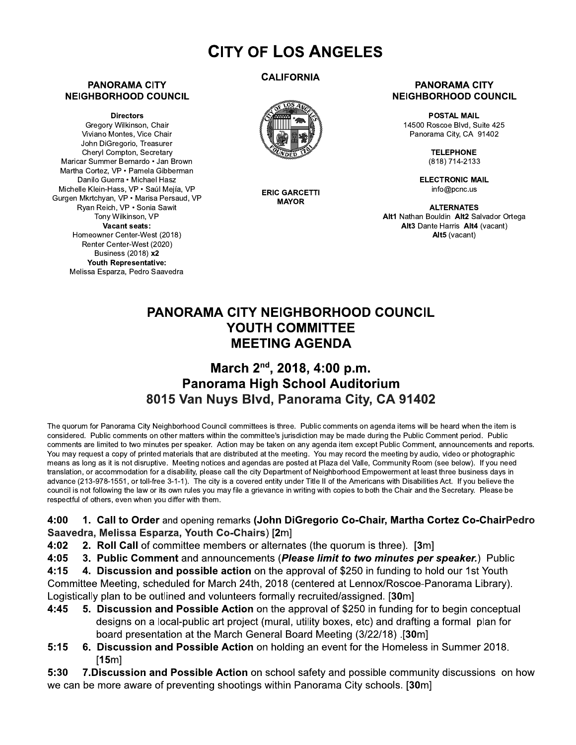# **CITY OF LOS ANGELES**

### **PANORAMA CITY NEIGHBORHOOD COUNCIL**

**Directors** 

Gregory Wilkinson, Chair Viviano Montes, Vice Chair John DiGregorio, Treasurer Chervl Compton, Secretary Maricar Summer Bernardo · Jan Brown Martha Cortez, VP · Pamela Gibberman Danilo Guerra • Michael Hasz Michelle Klein-Hass, VP · Saúl Meiía, VP Gurgen Mkrtchyan, VP · Marisa Persaud, VP Ryan Reich, VP · Sonia Sawit Tony Wilkinson, VP Vacant seats: Homeowner Center-West (2018) Renter Center-West (2020) Business (2018) x2 Youth Representative: Melissa Esparza, Pedro Saavedra

## **CALIFORNIA**



**ERIC GARCETTI MAYOR** 

### **PANORAMA CITY NEIGHBORHOOD COUNCIL**

**POSTAL MAIL** 14500 Roscoe Blvd. Suite 425 Panorama City, CA 91402

> **TELEPHONE** (818) 714-2133

**ELECTRONIC MAIL** info@pcnc.us

**ALTERNATES** Alt1 Nathan Bouldin Alt2 Salvador Ortega Alt3 Dante Harris Alt4 (vacant) Alt5 (vacant)

## **PANORAMA CITY NEIGHBORHOOD COUNCIL** YOUTH COMMITTEE **MEETING AGENDA**

## March 2<sup>nd</sup>, 2018, 4:00 p.m. Panorama High School Auditorium 8015 Van Nuys Blvd, Panorama City, CA 91402

The quorum for Panorama City Neighborhood Council committees is three. Public comments on agenda items will be heard when the item is considered. Public comments on other matters within the committee's jurisdiction may be made during the Public Comment period. Public comments are limited to two minutes per speaker. Action may be taken on any agenda item except Public Comment, announcements and reports. You may request a copy of printed materials that are distributed at the meeting. You may record the meeting by audio, video or photographic means as long as it is not disruptive. Meeting notices and agendas are posted at Plaza del Valle, Community Room (see below). If you need translation, or accommodation for a disability, please call the city Department of Neighborhood Empowerment at least three business days in advance (213-978-1551, or toll-free 3-1-1). The city is a covered entity under Title II of the Americans with Disabilities Act. If you believe the council is not following the law or its own rules you may file a grievance in writing with copies to both the Chair and the Secretary. Please be respectful of others, even when you differ with them.

### $4:00$ 1. Call to Order and opening remarks (John DiGregorio Co-Chair, Martha Cortez Co-ChairPedro Saavedra, Melissa Esparza, Youth Co-Chairs) [2m]

2. Roll Call of committee members or alternates (the quorum is three). [3m]  $4:02$ 

 $4:05$ 3. Public Comment and announcements (Please limit to two minutes per speaker.) Public

 $4:15$ 4. Discussion and possible action on the approval of \$250 in funding to hold our 1st Youth Committee Meeting, scheduled for March 24th, 2018 (centered at Lennox/Roscoe-Panorama Library). Logistically plan to be outlined and volunteers formally recruited/assigned. [30m]

- $4:45$ 5. Discussion and Possible Action on the approval of \$250 in funding for to begin conceptual designs on a local-public art project (mural, utility boxes, etc) and drafting a formal plan for board presentation at the March General Board Meeting (3/22/18) [30m]
- $5:15$ 6. Discussion and Possible Action on holding an event for the Homeless in Summer 2018.  $[15<sub>m</sub>]$

7. Discussion and Possible Action on school safety and possible community discussions on how  $5:30$ we can be more aware of preventing shootings within Panorama City schools. [30m]